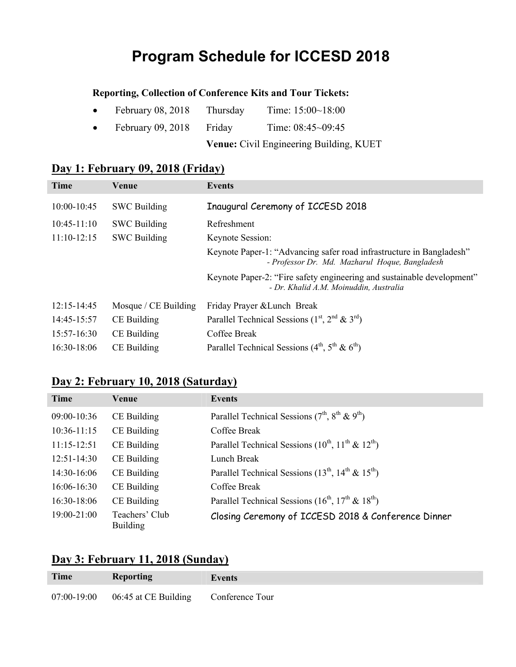# **Program Schedule for ICCESD 2018**

### **Reporting, Collection of Conference Kits and Tour Tickets:**

|           |                     |          | <b>Venue:</b> Civil Engineering Building, KUET |
|-----------|---------------------|----------|------------------------------------------------|
| $\bullet$ | February $09, 2018$ | Friday   | Time: $08:45 \sim 09:45$                       |
| $\bullet$ | February $08, 2018$ | Thursday | Time: $15:00 \sim 18:00$                       |

## **Day 1: February 09, 2018 (Friday)**

| <b>Time</b>     | Venue                | Events                                                                                                                 |
|-----------------|----------------------|------------------------------------------------------------------------------------------------------------------------|
| $10:00 - 10:45$ | <b>SWC Building</b>  | Inaugural Ceremony of ICCESD 2018                                                                                      |
| $10:45-11:10$   | <b>SWC Building</b>  | Refreshment                                                                                                            |
| $11:10-12:15$   | <b>SWC Building</b>  | Keynote Session:                                                                                                       |
|                 |                      | Keynote Paper-1: "Advancing safer road infrastructure in Bangladesh"<br>- Professor Dr. Md. Mazharul Hoque, Bangladesh |
|                 |                      | Keynote Paper-2: "Fire safety engineering and sustainable development"<br>- Dr. Khalid A.M. Moinuddin, Australia       |
| $12:15 - 14:45$ | Mosque / CE Building | Friday Prayer & Lunch Break                                                                                            |
| 14:45-15:57     | CE Building          | Parallel Technical Sessions $(1st, 2nd \& 3rd)$                                                                        |
| $15:57-16:30$   | CE Building          | Coffee Break                                                                                                           |
| 16:30-18:06     | CE Building          | Parallel Technical Sessions $(4th, 5th \& 6th)$                                                                        |

## **Day 2: February 10, 2018 (Saturday)**

| Time            | Venue                             | Events                                                      |
|-----------------|-----------------------------------|-------------------------------------------------------------|
| 09:00-10:36     | CE Building                       | Parallel Technical Sessions $(7th, 8th \& 9th)$             |
| $10:36-11:15$   | CE Building                       | Coffee Break                                                |
| $11:15-12:51$   | CE Building                       | Parallel Technical Sessions $(10^{th}, 11^{th} \& 12^{th})$ |
| $12:51-14:30$   | CE Building                       | Lunch Break                                                 |
| $14:30-16:06$   | CE Building                       | Parallel Technical Sessions $(13^{th}, 14^{th} \& 15^{th})$ |
| $16:06 - 16:30$ | CE Building                       | Coffee Break                                                |
| $16:30-18:06$   | CE Building                       | Parallel Technical Sessions $(16^{th}, 17^{th} \& 18^{th})$ |
| 19:00-21:00     | Teachers' Club<br><b>Building</b> | Closing Ceremony of ICCESD 2018 & Conference Dinner         |

### **Day 3: February 11, 2018 (Sunday)**

| Time          | <b>Reporting</b>                     | Events |
|---------------|--------------------------------------|--------|
| $07:00-19:00$ | 06:45 at CE Building Conference Tour |        |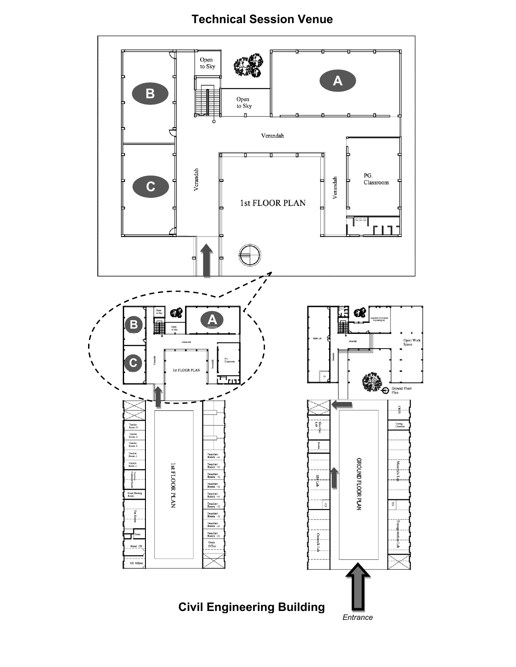## **Technical Session Venue**

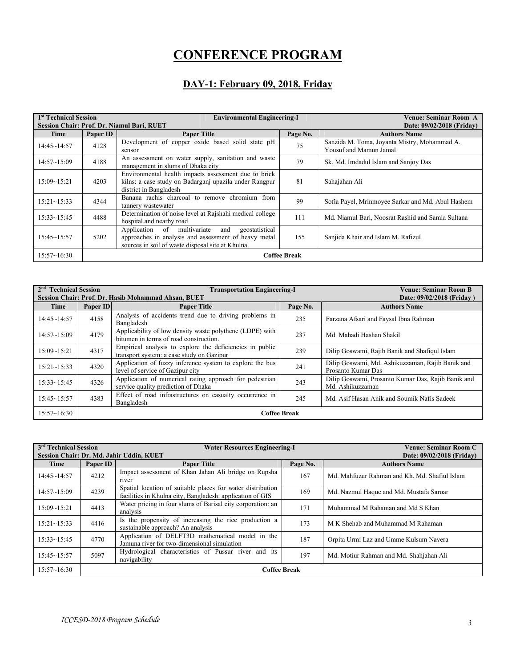# **CONFERENCE PROGRAM**

#### **DAY-1: February 09, 2018, Friday**

| 1 <sup>st</sup> Technical Session<br>Session Chair: Prof. Dr. Niamul Bari, RUET |          | <b>Environmental Engineering-I</b>                                                                                                                               |                     | Venue: Seminar Room A<br>Date: 09/02/2018 (Friday)                     |
|---------------------------------------------------------------------------------|----------|------------------------------------------------------------------------------------------------------------------------------------------------------------------|---------------------|------------------------------------------------------------------------|
| Time                                                                            | Paper ID | <b>Paper Title</b>                                                                                                                                               | Page No.            | <b>Authors Name</b>                                                    |
| $14:45 \sim 14:57$                                                              | 4128     | Development of copper oxide based solid state pH<br>sensor                                                                                                       | 75                  | Sanzida M. Toma, Joyanta Mistry, Mohammad A.<br>Yousuf and Mamun Jamal |
| $14:57 \sim 15:09$                                                              | 4188     | An assessment on water supply, sanitation and waste<br>management in slums of Dhaka city                                                                         | 79                  | Sk. Md. Imdadul Islam and Sanjoy Das                                   |
| 15:09~15:21                                                                     | 4203     | Environmental health impacts assessment due to brick<br>kilns: a case study on Badarganj upazila under Rangpur<br>district in Bangladesh                         | 81                  | Sahajahan Ali                                                          |
| $15:21 \sim 15:33$                                                              | 4344     | Banana rachis charcoal to remove chromium from<br>tannery wastewater                                                                                             | 99                  | Sofia Payel, Mrinmoyee Sarkar and Md. Abul Hashem                      |
| $15:33 \sim 15:45$                                                              | 4488     | Determination of noise level at Rajshahi medical college<br>hospital and nearby road                                                                             | 111                 | Md. Niamul Bari, Noosrat Rashid and Samia Sultana                      |
| $15:45 \sim 15:57$                                                              | 5202     | Application of multivariate<br>geostatistical<br>and<br>approaches in analysis and assessment of heavy metal<br>sources in soil of waste disposal site at Khulna | 155                 | Sanjida Khair and Islam M. Rafizul                                     |
| 15:57~16:30                                                                     |          |                                                                                                                                                                  | <b>Coffee Break</b> |                                                                        |

| 2 <sup>nd</sup><br><b>Technical Session</b> |                     | <b>Transportation Engineering-I</b><br>Session Chair: Prof. Dr. Hasib Mohammad Ahsan, BUET            |          | <b>Venue: Seminar Room B</b><br>Date: 09/02/2018 (Friday)              |  |
|---------------------------------------------|---------------------|-------------------------------------------------------------------------------------------------------|----------|------------------------------------------------------------------------|--|
| Time                                        | Paper ID            | <b>Paper Title</b>                                                                                    | Page No. | <b>Authors Name</b>                                                    |  |
| $14:45 \sim 14:57$                          | 4158                | Analysis of accidents trend due to driving problems in<br>Bangladesh                                  | 235      | Farzana Afsari and Faysal Ibna Rahman                                  |  |
| 14:57~15:09                                 | 4179                | Applicability of low density waste polythene (LDPE) with<br>bitumen in terms of road construction.    | 237      | Md. Mahadi Hashan Shakil                                               |  |
| $15:09 - 15:21$                             | 4317                | Empirical analysis to explore the deficiencies in public<br>transport system: a case study on Gazipur | 239      | Dilip Goswami, Rajib Banik and Shafiqul Islam                          |  |
| $15:21 - 15:33$                             | 4320                | Application of fuzzy inference system to explore the bus<br>level of service of Gazipur city          | 241      | Dilip Goswami, Md. Ashikuzzaman, Rajib Banik and<br>Prosanto Kumar Das |  |
| $15:33 - 15:45$                             | 4326                | Application of numerical rating approach for pedestrian<br>service quality prediction of Dhaka        | 243      | Dilip Goswami, Prosanto Kumar Das, Rajib Banik and<br>Md. Ashikuzzaman |  |
| $15:45 - 15:57$                             | 4383                | Effect of road infrastructures on casualty occurrence in<br>Bangladesh                                | 245      | Md. Asif Hasan Anik and Soumik Nafis Sadeek                            |  |
| 15:57~16:30                                 | <b>Coffee Break</b> |                                                                                                       |          |                                                                        |  |

| $3rd$ Technical Session<br>Session Chair: Dr. Md. Jahir Uddin, KUET |          | <b>Water Resources Engineering-I</b>                                                                                    |          | Venue: Seminar Room C<br>Date: 09/02/2018 (Friday) |
|---------------------------------------------------------------------|----------|-------------------------------------------------------------------------------------------------------------------------|----------|----------------------------------------------------|
| Time                                                                | Paper ID | <b>Paper Title</b>                                                                                                      | Page No. | <b>Authors Name</b>                                |
| $14:45 \sim 14:57$                                                  | 4212     | Impact assessment of Khan Jahan Ali bridge on Rupsha<br>river                                                           | 167      | Md. Mahfuzur Rahman and Kh. Md. Shafiul Islam      |
| $14:57 \sim 15:09$                                                  | 4239     | Spatial location of suitable places for water distribution<br>facilities in Khulna city, Bangladesh: application of GIS | 169      | Md. Nazmul Haque and Md. Mustafa Saroar            |
| 15:09~15:21                                                         | 4413     | Water pricing in four slums of Barisal city corporation: an<br>analysis                                                 | 171      | Muhammad M Rahaman and Md S Khan                   |
| $15:21 \sim 15:33$                                                  | 4416     | Is the propensity of increasing the rice production a<br>sustainable approach? An analysis                              | 173      | M K Shehab and Muhammad M Rahaman                  |
| $15:33 \sim 15:45$                                                  | 4770     | Application of DELFT3D mathematical model in the<br>Jamuna river for two-dimensional simulation                         | 187      | Orpita Urmi Laz and Umme Kulsum Navera             |
| $15:45 \sim 15:57$                                                  | 5097     | Hydrological characteristics of Pussur river and its<br>navigability                                                    | 197      | Md. Motiur Rahman and Md. Shahiahan Ali            |
| 15:57~16:30                                                         |          | <b>Coffee Break</b>                                                                                                     |          |                                                    |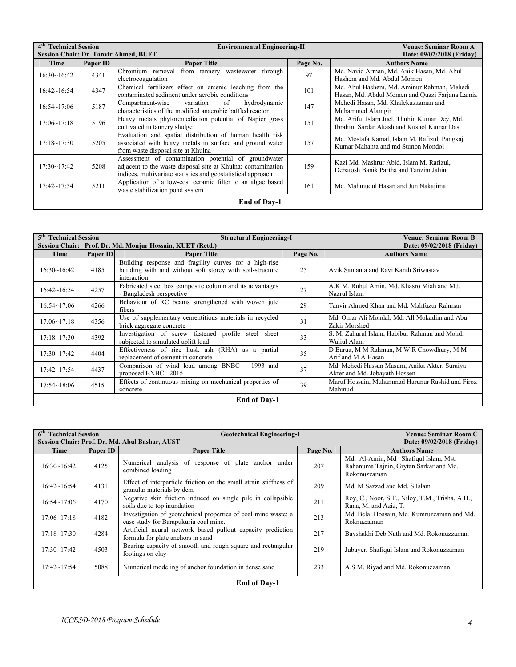| 4 <sup>th</sup> Technical Session<br><b>Session Chair: Dr. Tanvir Ahmed, BUET</b> |          | <b>Environmental Engineering-II</b>                                                                                                                                                  |          | Venue: Seminar Room A<br>Date: 09/02/2018 (Friday)                                           |  |
|-----------------------------------------------------------------------------------|----------|--------------------------------------------------------------------------------------------------------------------------------------------------------------------------------------|----------|----------------------------------------------------------------------------------------------|--|
| Time                                                                              | Paper ID | <b>Paper Title</b>                                                                                                                                                                   | Page No. | <b>Authors Name</b>                                                                          |  |
| 16:30~16:42                                                                       | 4341     | from tannery wastewater<br>Chromium removal<br>through<br>electrocoagulation                                                                                                         | 97       | Md. Navid Arman, Md. Anik Hasan, Md. Abul<br>Hashem and Md. Abdul Momen                      |  |
| 16:42~16:54                                                                       | 4347     | Chemical fertilizers effect on arsenic leaching from the<br>contaminated sediment under aerobic conditions                                                                           | 101      | Md. Abul Hashem, Md. Aminur Rahman, Mehedi<br>Hasan, Md. Abdul Momen and Quazi Farjana Lamia |  |
| $16:54 \sim 17:06$                                                                | 5187     | hydrodynamic<br>Compartment-wise<br>of<br>variation<br>characteristics of the modified anaerobic baffled reactor                                                                     | 147      | Mehedi Hasan, Md. Khalekuzzaman and<br>Muhammed Alamgir                                      |  |
| 17:06~17:18                                                                       | 5196     | Heavy metals phytoremediation potential of Napier grass<br>cultivated in tannery sludge                                                                                              | 151      | Md. Ariful Islam Juel, Thuhin Kumar Dey, Md.<br>Ibrahim Sardar Akash and Kushol Kumar Das    |  |
| $17:18 \sim 17:30$                                                                | 5205     | Evaluation and spatial distribution of human health risk<br>associated with heavy metals in surface and ground water<br>from waste disposal site at Khulna                           | 157      | Md. Mostafa Kamal, Islam M. Rafizul, Pangkaj<br>Kumar Mahanta and md Sumon Mondol            |  |
| 17:30~17:42                                                                       | 5208     | Assessment of contamination potential of groundwater<br>adjacent to the waste disposal site at Khulna: contamination<br>indices, multivariate statistics and geostatistical approach | 159      | Kazi Md. Mashrur Abid, Islam M. Rafizul,<br>Debatosh Banik Partha and Tanzim Jahin           |  |
| $17:42 \sim 17:54$                                                                | 5211     | Application of a low-cost ceramic filter to an algae based<br>waste stabilization pond system                                                                                        | 161      | Md. Mahmudul Hasan and Jun Nakajima                                                          |  |
| <b>End of Day-1</b>                                                               |          |                                                                                                                                                                                      |          |                                                                                              |  |

| 5 <sup>th</sup> Technical Session |                     | <b>Structural Engineering-I</b>                                                                                                    |          | Venue: Seminar Room B                                                          |  |  |
|-----------------------------------|---------------------|------------------------------------------------------------------------------------------------------------------------------------|----------|--------------------------------------------------------------------------------|--|--|
|                                   |                     | Session Chair: Prof. Dr. Md. Monjur Hossain, KUET (Retd.)                                                                          |          | Date: 09/02/2018 (Friday)                                                      |  |  |
| Time                              | Paper ID            | <b>Paper Title</b>                                                                                                                 | Page No. | <b>Authors Name</b>                                                            |  |  |
| 16:30~16:42                       | 4185                | Building response and fragility curves for a high-rise<br>building with and without soft storey with soil-structure<br>interaction | 25       | Avik Samanta and Ravi Kanth Sriwastav                                          |  |  |
| 16:42~16:54                       | 4257                | Fabricated steel box composite column and its advantages<br>- Bangladesh perspective                                               | 27       | A.K.M. Ruhul Amin, Md. Khasro Miah and Md.<br>Nazrul Islam                     |  |  |
| 16:54~17:06                       | 4266                | Behaviour of RC beams strengthened with woven jute<br>fibers                                                                       | 29       | Tanvir Ahmed Khan and Md. Mahfuzur Rahman                                      |  |  |
| $17:06 \sim 17:18$                | 4356                | Use of supplementary cementitious materials in recycled<br>brick aggregate concrete                                                | 31       | Md. Omar Ali Mondal, Md. All Mokadim and Abu<br>Zakir Morshed                  |  |  |
| $17:18 \sim 17:30$                | 4392                | Investigation of screw fastened profile steel<br>sheet<br>subjected to simulated uplift load                                       | 33       | S. M. Zahurul Islam, Habibur Rahman and Mohd.<br>Waliul Alam                   |  |  |
| 17:30~17:42                       | 4404                | Effectiveness of rice husk ash (RHA) as a partial<br>replacement of cement in concrete                                             | 35       | D Barua, M M Rahman, M W R Chowdhury, M M<br>Arif and M A Hasan                |  |  |
| $17:42 \sim 17:54$                | 4437                | Comparison of wind load among BNBC - 1993 and<br>proposed BNBC - 2015                                                              | 37       | Md. Mehedi Hassan Masum, Anika Akter, Suraiya<br>Akter and Md. Jobayath Hossen |  |  |
| $17:54 \sim 18:06$                | 4515                | Effects of continuous mixing on mechanical properties of<br>concrete                                                               | 39       | Maruf Hossain, Muhammad Harunur Rashid and Firoz<br>Mahmud                     |  |  |
|                                   | <b>End of Dav-1</b> |                                                                                                                                    |          |                                                                                |  |  |

| 6 <sup>th</sup> Technical Session<br>Session Chair: Prof. Dr. Md. Abul Bashar, AUST |          | <b>Geotechnical Engineering-I</b>                                                                       |          | Venue: Seminar Room C<br>Date: 09/02/2018 (Friday)                                              |
|-------------------------------------------------------------------------------------|----------|---------------------------------------------------------------------------------------------------------|----------|-------------------------------------------------------------------------------------------------|
| Time                                                                                | Paper ID | <b>Paper Title</b>                                                                                      | Page No. | <b>Authors Name</b>                                                                             |
| 16:30~16:42                                                                         | 4125     | Numerical analysis of response of plate anchor under<br>combined loading                                | 207      | Md. Al-Amin, Md. Shafiqul Islam, Mst.<br>Rahanuma Tajnin, Grytan Sarkar and Md.<br>Rokonuzzaman |
| 16:42~16:54                                                                         | 4131     | Effect of interparticle friction on the small strain stiffness of<br>granular materials by dem          | 209      | Md. M Sazzad and Md. S Islam                                                                    |
| $16:54 \sim 17:06$                                                                  | 4170     | Negative skin friction induced on single pile in collapsible<br>soils due to top inundation             | 211      | Roy, C., Noor, S.T., Niloy, T.M., Trisha, A.H.,<br>Rana, M. and Aziz, T.                        |
| 17:06~17:18                                                                         | 4182     | Investigation of geotechnical properties of coal mine waste: a<br>case study for Barapukuria coal mine. | 213      | Md. Belal Hossain, Md. Kumruzzaman and Md.<br>Roknuzzaman                                       |
| $17:18 \sim 17:30$                                                                  | 4284     | Artificial neural network based pullout capacity prediction<br>formula for plate anchors in sand        | 217      | Bayshakhi Deb Nath and Md. Rokonuzzaman                                                         |
| $17:30 - 17:42$                                                                     | 4503     | Bearing capacity of smooth and rough square and rectangular<br>footings on clay                         | 219      | Jubayer, Shafiqul Islam and Rokonuzzaman                                                        |
| $17:42 \sim 17:54$                                                                  | 5088     | Numerical modeling of anchor foundation in dense sand                                                   | 233      | A.S.M. Rivad and Md. Rokonuzzaman                                                               |
|                                                                                     |          | <b>End of Day-1</b>                                                                                     |          |                                                                                                 |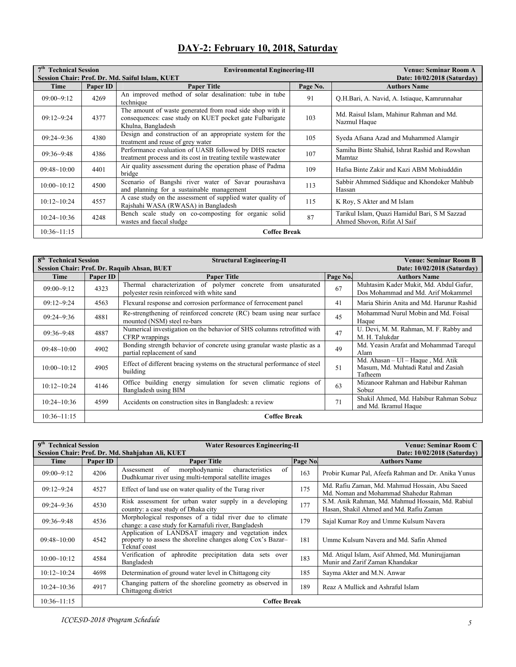| 7 <sup>th</sup> Technical Session<br>Session Chair: Prof. Dr. Md. Saiful Islam, KUET |          | <b>Environmental Engineering-III</b>                                                                                                        |          | <b>Venue: Seminar Room A</b><br>Date: 10/02/2018 (Saturday)                  |
|--------------------------------------------------------------------------------------|----------|---------------------------------------------------------------------------------------------------------------------------------------------|----------|------------------------------------------------------------------------------|
| Time                                                                                 | Paper ID | <b>Paper Title</b>                                                                                                                          | Page No. | <b>Authors Name</b>                                                          |
| $09:00-9:12$                                                                         | 4269     | An improved method of solar desalination: tube in tube<br>technique                                                                         | 91       | Q.H.Bari, A. Navid, A. Istiaque, Kamrunnahar                                 |
| $09:12-9:24$                                                                         | 4377     | The amount of waste generated from road side shop with it<br>consequences: case study on KUET pocket gate Fulbarigate<br>Khulna, Bangladesh | 103      | Md. Raisul Islam, Mahinur Rahman and Md.<br>Nazmul Haque                     |
| $09:24 - 9:36$                                                                       | 4380     | Design and construction of an appropriate system for the<br>treatment and reuse of grey water                                               | 105      | Syeda Afsana Azad and Muhammed Alamgir                                       |
| $09:36 - 9:48$                                                                       | 4386     | Performance evaluation of UASB followed by DHS reactor<br>treatment process and its cost in treating textile wastewater                     | 107      | Samiha Binte Shahid, Ishrat Rashid and Rowshan<br>Mamtaz                     |
| $09:48 \sim 10:00$                                                                   | 4401     | Air quality assessment during the operation phase of Padma<br>bridge                                                                        | 109      | Hafsa Binte Zakir and Kazi ABM Mohiudddin                                    |
| 10:00~10:12                                                                          | 4500     | Scenario of Bangshi river water of Savar pourashava<br>and planning for a sustainable management                                            | 113      | Sabbir Ahmmed Siddique and Khondoker Mahbub<br>Hassan                        |
| 10:12~10:24                                                                          | 4557     | A case study on the assessment of supplied water quality of<br>Rajshahi WASA (RWASA) in Bangladesh                                          | 115      | K Roy, S Akter and M Islam                                                   |
| $10:24 \sim 10:36$                                                                   | 4248     | Bench scale study on co-composting for organic solid<br>wastes and faecal sludge                                                            | 87       | Tarikul Islam, Quazi Hamidul Bari, S M Sazzad<br>Ahmed Shovon, Rifat Al Saif |

## **DAY-2: February 10, 2018, Saturday**

10:36~11:15 **Coffee Break**

| 8 <sup>th</sup><br><b>Technical Session</b><br><b>Structural Engineering-II</b><br><b>Session Chair: Prof. Dr. Raquib Ahsan, BUET</b> |          |                                                                                                                   | <b>Venue: Seminar Room B</b><br>Date: 10/02/2018 (Saturday) |                                                                                     |
|---------------------------------------------------------------------------------------------------------------------------------------|----------|-------------------------------------------------------------------------------------------------------------------|-------------------------------------------------------------|-------------------------------------------------------------------------------------|
| Time                                                                                                                                  | Paper ID | <b>Paper Title</b>                                                                                                | Page No.                                                    | <b>Authors Name</b>                                                                 |
| $09:00-9:12$                                                                                                                          | 4323     | Thermal characterization of polymer<br>concrete from<br>unsaturated<br>polyester resin reinforced with white sand | 67                                                          | Muhtasim Kader Mukit, Md. Abdul Gafur,<br>Dos Mohammad and Md. Arif Mokammel        |
| $09:12-9:24$                                                                                                                          | 4563     | Flexural response and corrosion performance of ferrocement panel                                                  | 41                                                          | Maria Shirin Anita and Md. Harunur Rashid                                           |
| $09:24 - 9:36$                                                                                                                        | 4881     | Re-strengthening of reinforced concrete (RC) beam using near surface<br>mounted (NSM) steel re-bars               | 45                                                          | Mohammad Nurul Mobin and Md. Foisal<br>Haque                                        |
| $09:36-9:48$                                                                                                                          | 4887     | Numerical investigation on the behavior of SHS columns retrofitted with<br>CFRP wrappings                         | 47                                                          | U. Devi, M. M. Rahman, M. F. Rabby and<br>M. H. Talukdar                            |
| $09:48 \sim 10:00$                                                                                                                    | 4902     | Bonding strength behavior of concrete using granular waste plastic as a<br>partial replacement of sand            | 49                                                          | Md. Yeasin Arafat and Mohammad Tarequl<br>Alam                                      |
| 10:00~10:12                                                                                                                           | 4905     | Effect of different bracing systems on the structural performance of steel<br>building                            | 51                                                          | Md. Ahasan - Ul - Haque, Md. Atik<br>Masum, Md. Muhtadi Ratul and Zasiah<br>Tafheem |
| 10:12~10:24                                                                                                                           | 4146     | simulation for seven climatic regions of<br>Office building energy<br>Bangladesh using BIM                        | 63                                                          | Mizanoor Rahman and Habibur Rahman<br>Sobuz                                         |
| $10:24 \sim 10:36$                                                                                                                    | 4599     | Accidents on construction sites in Bangladesh: a review                                                           | 71                                                          | Shakil Ahmed, Md. Habibur Rahman Sobuz<br>and Md. Ikramul Haque                     |
| 10:36~11:15                                                                                                                           |          | <b>Coffee Break</b>                                                                                               |                                                             |                                                                                     |

| 9 <sup>th</sup><br><b>Technical Session</b> |          | <b>Water Resources Engineering-II</b>                                                                                              | <b>Venue: Seminar Room C</b> |                                                                                             |
|---------------------------------------------|----------|------------------------------------------------------------------------------------------------------------------------------------|------------------------------|---------------------------------------------------------------------------------------------|
|                                             |          | Session Chair: Prof. Dr. Md. Shahjahan Ali, KUET                                                                                   |                              | Date: 10/02/2018 (Saturday)                                                                 |
| Time                                        | Paper ID | <b>Paper Title</b>                                                                                                                 | Page No.                     | <b>Authors Name</b>                                                                         |
| $09:00-9:12$                                | 4206     | of<br>of<br>morphodynamic<br>characteristics<br>Assessment<br>Dudhkumar river using multi-temporal satellite images                | 163                          | Probir Kumar Pal, Afeefa Rahman and Dr. Anika Yunus                                         |
| $09:12-9:24$                                | 4527     | Effect of land use on water quality of the Turag river                                                                             | 175                          | Md. Rafiu Zaman, Md. Mahmud Hossain, Abu Saeed<br>Md. Noman and Mohammad Shahedur Rahman    |
| $09:24 - 9:36$                              | 4530     | Risk assessment for urban water supply in a developing<br>country: a case study of Dhaka city                                      | 177                          | S.M. Anik Rahman, Md. Mahmud Hossain, Md. Rabiul<br>Hasan, Shakil Ahmed and Md. Rafiu Zaman |
| $09:36-9:48$                                | 4536     | Morphological responses of a tidal river due to climate<br>change: a case study for Karnafuli river, Bangladesh                    | 179                          | Sajal Kumar Roy and Umme Kulsum Navera                                                      |
| $09:48 \sim 10:00$                          | 4542     | Application of LANDSAT imagery and vegetation index<br>property to assess the shoreline changes along Cox's Bazar-<br>Teknaf coast | 181                          | Umme Kulsum Navera and Md. Safin Ahmed                                                      |
| 10:00~10:12                                 | 4584     | Verification of aphrodite precipitation<br>data<br>sets over<br>Bangladesh                                                         | 183                          | Md. Atiqul Islam, Asif Ahmed, Md. Munirujjaman<br>Munir and Zarif Zaman Khandakar           |
| 10:12~10:24                                 | 4698     | Determination of ground water level in Chittagong city                                                                             | 185                          | Sayma Akter and M.N. Anwar                                                                  |
| $10:24 \sim 10:36$                          | 4917     | Changing pattern of the shoreline geometry as observed in<br>Chittagong district                                                   | 189                          | Reaz A Mullick and Ashraful Islam                                                           |
| 10:36~11:15                                 |          | <b>Coffee Break</b>                                                                                                                |                              |                                                                                             |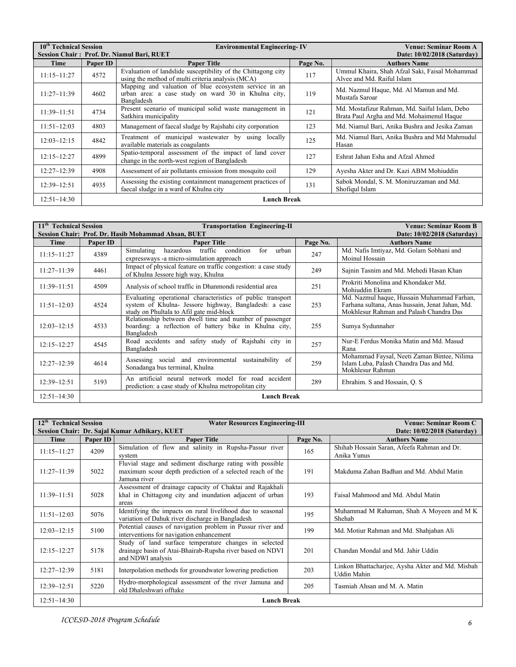| 10 <sup>th</sup> Technical Session |                    | <b>Environmental Engineering-IV</b>                                                                                        | <b>Venue: Seminar Room A</b> |                                                                                            |  |
|------------------------------------|--------------------|----------------------------------------------------------------------------------------------------------------------------|------------------------------|--------------------------------------------------------------------------------------------|--|
|                                    |                    | Session Chair: Prof. Dr. Niamul Bari, RUET                                                                                 |                              | Date: 10/02/2018 (Saturday)                                                                |  |
| Time                               | Paper ID           | <b>Paper Title</b>                                                                                                         | Page No.                     | <b>Authors Name</b>                                                                        |  |
| 11:15~11:27                        | 4572               | Evaluation of landslide susceptibility of the Chittagong city<br>using the method of multi criteria analysis (MCA)         | 117                          | Ummul Khaira, Shah Afzal Saki, Faisal Mohammad<br>Alvee and Md. Raiful Islam               |  |
| 11:27~11:39                        | 4602               | Mapping and valuation of blue ecosystem service in an<br>urban area: a case study on ward 30 in Khulna city,<br>Bangladesh | 119                          | Md. Nazmul Haque, Md. Al Mamun and Md.<br>Mustafa Saroar                                   |  |
| 11:39~11:51                        | 4734               | Present scenario of municipal solid waste management in<br>Satkhira municipality                                           | 121                          | Md. Mostafizur Rahman, Md. Saiful Islam, Debo<br>Brata Paul Argha and Md. Mohaimenul Haque |  |
| $11:51~-12:03$                     | 4803               | Management of faecal sludge by Rajshahi city corporation                                                                   | 123                          | Md. Niamul Bari, Anika Bushra and Jesika Zaman                                             |  |
| $12:03 \sim 12:15$                 | 4842               | Treatment of municipal wastewater by using<br>locally<br>available materials as coagulants                                 | 125                          | Md. Niamul Bari, Anika Bushra and Md Mahmudul<br>Hasan                                     |  |
| 12:15~12:27                        | 4899               | Spatio-temporal assessment of the impact of land cover<br>change in the north-west region of Bangladesh                    | 127                          | Eshrat Jahan Esha and Afzal Ahmed                                                          |  |
| $12:27 - 12:39$                    | 4908               | Assessment of air pollutants emission from mosquito coil                                                                   | 129                          | Ayesha Akter and Dr. Kazi ABM Mohiuddin                                                    |  |
| 12:39~12:51                        | 4935               | Assessing the existing containment management practices of<br>faecal sludge in a ward of Khulna city                       | 131                          | Sabok Mondal, S. M. Moniruzzaman and Md.<br>Shofiqul Islam                                 |  |
| $12:51 \sim 14:30$                 | <b>Lunch Break</b> |                                                                                                                            |                              |                                                                                            |  |

| 11 <sup>th</sup> Technical Session                                                 |          | <b>Transportation Engineering-II</b>                                                                                                                            | <b>Venue: Seminar Room B</b> |                                                                                                                                          |  |
|------------------------------------------------------------------------------------|----------|-----------------------------------------------------------------------------------------------------------------------------------------------------------------|------------------------------|------------------------------------------------------------------------------------------------------------------------------------------|--|
| Session Chair: Prof. Dr. Hasib Mohammad Ahsan, BUET<br>Date: 10/02/2018 (Saturday) |          |                                                                                                                                                                 |                              |                                                                                                                                          |  |
| Time                                                                               | Paper ID | <b>Paper Title</b>                                                                                                                                              | Page No.                     | <b>Authors Name</b>                                                                                                                      |  |
| 11:15~11:27                                                                        | 4389     | traffic<br>condition<br>Simulating<br>hazardous<br>urban<br>for<br>expressways - a micro-simulation approach                                                    | 247                          | Md. Nafis Imtiyaz, Md. Golam Sobhani and<br>Moinul Hossain                                                                               |  |
| 11:27~11:39                                                                        | 4461     | Impact of physical feature on traffic congestion: a case study<br>of Khulna Jessore high way, Khulna                                                            | 249                          | Sajnin Tasnim and Md. Mehedi Hasan Khan                                                                                                  |  |
| 11:39~11:51                                                                        | 4509     | Analysis of school traffic in Dhanmondi residential area                                                                                                        | 251                          | Prokriti Monolina and Khondaker Md.<br>Mohiuddin Ekram                                                                                   |  |
| 11:51~12:03                                                                        | 4524     | Evaluating operational characteristics of public transport<br>system of Khulna- Jessore highway, Bangladesh: a case<br>study on Phultala to Afil gate mid-block | 253                          | Md. Nazmul haque, Hussain Muhammad Farhan,<br>Farhana sultana, Anas hussain, Jenat Jahan, Md.<br>Mokhlesur Rahman and Palash Chandra Das |  |
| $12:03 \sim 12:15$                                                                 | 4533     | Relationship between dwell time and number of passenger<br>boarding: a reflection of battery bike in Khulna city,<br>Bangladesh                                 | 255                          | Sumya Sydunnaher                                                                                                                         |  |
| $12:15 - 12:27$                                                                    | 4545     | Road accidents and safety study of Rajshahi city in<br>Bangladesh                                                                                               | 257                          | Nur-E Ferdus Monika Matin and Md. Masud<br>Rana                                                                                          |  |
| $12:27 - 12:39$                                                                    | 4614     | Assessing social and environmental<br>sustainability of<br>Sonadanga bus terminal, Khulna                                                                       | 259                          | Mohammad Faysal, Neeti Zaman Bintee, Nilima<br>Islam Luba, Palash Chandra Das and Md.<br>Mokhlesur Rahman                                |  |
| $12:39 - 12:51$                                                                    | 5193     | An artificial neural network model for road accident<br>prediction: a case study of Khulna metropolitan city                                                    | 289                          | Ebrahim. S and Hossain, O. S.                                                                                                            |  |
| $12:51~-14:30$                                                                     |          | <b>Lunch Break</b>                                                                                                                                              |                              |                                                                                                                                          |  |

| 12 <sup>th</sup> Technical Session |                    | <b>Water Resources Engineering-III</b>                                                                                                  | <b>Venue: Seminar Room C</b> |                                                                        |  |  |
|------------------------------------|--------------------|-----------------------------------------------------------------------------------------------------------------------------------------|------------------------------|------------------------------------------------------------------------|--|--|
|                                    |                    | Session Chair: Dr. Sajal Kumar Adhikary, KUET                                                                                           | Date: 10/02/2018 (Saturday)  |                                                                        |  |  |
| Time                               | Paper ID           | <b>Paper Title</b>                                                                                                                      | Page No.                     | <b>Authors Name</b>                                                    |  |  |
| 11:15~11:27                        | 4209               | Simulation of flow and salinity in Rupsha-Passur river<br>system                                                                        | 165                          | Shihab Hossain Saran, Afeefa Rahman and Dr.<br>Anika Yunus             |  |  |
| 11:27~11:39                        | 5022               | Fluvial stage and sediment discharge rating with possible<br>maximum scour depth prediction of a selected reach of the<br>Jamuna river  | 191                          | Makduma Zahan Badhan and Md. Abdul Matin                               |  |  |
| 11:39~11:51                        | 5028               | Assessment of drainage capacity of Chaktai and Rajakhali<br>khal in Chittagong city and inundation adjacent of urban<br>areas           | 193                          | Faisal Mahmood and Md. Abdul Matin                                     |  |  |
| 11:51~12:03                        | 5076               | Identifying the impacts on rural livelihood due to seasonal<br>variation of Dahuk river discharge in Bangladesh                         | 195                          | Muhammad M Rahaman, Shah A Moyeen and M K<br>Shehab                    |  |  |
| $12:03 \sim 12:15$                 | 5100               | Potential causes of navigation problem in Pussur river and<br>interventions for navigation enhancement                                  | 199                          | Md. Motiur Rahman and Md. Shahjahan Ali                                |  |  |
| 12:15~12:27                        | 5178               | Study of land surface temperature changes in selected<br>drainage basin of Atai-Bhairab-Rupsha river based on NDVI<br>and NDWI analysis | 201                          | Chandan Mondal and Md. Jahir Uddin                                     |  |  |
| $12:27~-12:39$                     | 5181               | Interpolation methods for groundwater lowering prediction                                                                               | 203                          | Linkon Bhattacharjee, Aysha Akter and Md. Misbah<br><b>Uddin Mahin</b> |  |  |
| $12:39 - 12:51$                    | 5220               | Hydro-morphological assessment of the river Jamuna and<br>old Dhaleshwari offtake                                                       | 205                          | Tasmiah Ahsan and M. A. Matin                                          |  |  |
| $12:51 \sim 14:30$                 | <b>Lunch Break</b> |                                                                                                                                         |                              |                                                                        |  |  |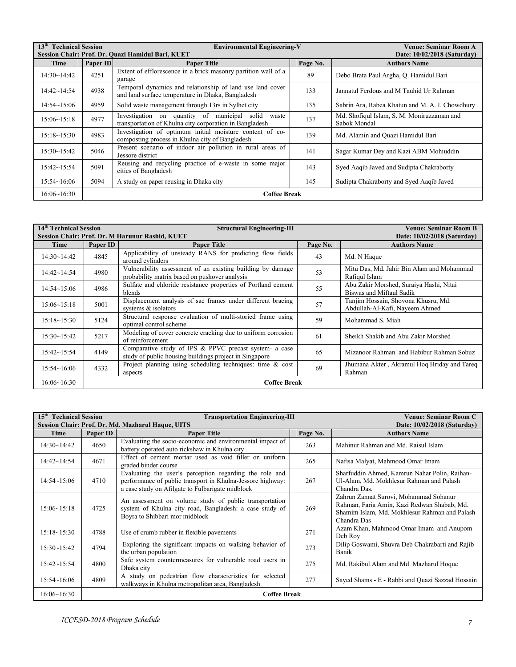| 13 <sup>th</sup> Technical Session |                     | <b>Environmental Engineering-V</b>                                                                               |          | Venue: Seminar Room A                                      |  |  |
|------------------------------------|---------------------|------------------------------------------------------------------------------------------------------------------|----------|------------------------------------------------------------|--|--|
|                                    |                     | Session Chair: Prof. Dr. Quazi Hamidul Bari, KUET                                                                |          | Date: 10/02/2018 (Saturday)                                |  |  |
| Time                               | Paper ID            | <b>Paper Title</b>                                                                                               | Page No. | <b>Authors Name</b>                                        |  |  |
| 14:30~14:42                        | 4251                | Extent of efflorescence in a brick masonry partition wall of a<br>garage                                         | 89       | Debo Brata Paul Argha, Q. Hamidul Bari                     |  |  |
| $14:42 \sim 14:54$                 | 4938                | Temporal dynamics and relationship of land use land cover<br>and land surface temperature in Dhaka, Bangladesh   | 133      | Jannatul Ferdous and M Tauhid Ur Rahman                    |  |  |
| $14:54 \sim 15:06$                 | 4959                | Solid waste management through 13rs in Sylhet city                                                               | 135      | Sabrin Ara, Rabea Khatun and M. A. I. Chowdhury            |  |  |
| 15:06~15:18                        | 4977                | Investigation on quantity of municipal solid<br>waste<br>transportation of Khulna city corporation in Bangladesh | 137      | Md. Shofiqul Islam, S. M. Moniruzzaman and<br>Sabok Mondal |  |  |
| $15:18 \sim 15:30$                 | 4983                | Investigation of optimum initial moisture content of co-<br>composting process in Khulna city of Bangladesh      | 139      | Md. Alamin and Quazi Hamidul Bari                          |  |  |
| 15:30~15:42                        | 5046                | Present scenario of indoor air pollution in rural areas of<br>Jessore district                                   | 141      | Sagar Kumar Dey and Kazi ABM Mohiuddin                     |  |  |
| $15:42 \sim 15:54$                 | 5091                | Reusing and recycling practice of e-waste in some major<br>cities of Bangladesh                                  | 143      | Syed Aaqib Javed and Sudipta Chakraborty                   |  |  |
| 15:54~16:06                        | 5094                | A study on paper reusing in Dhaka city                                                                           | 145      | Sudipta Chakraborty and Syed Aaqib Javed                   |  |  |
| 16:06~16:30                        | <b>Coffee Break</b> |                                                                                                                  |          |                                                            |  |  |

| 14 <sup>th</sup> Technical Session |                     | <b>Structural Engineering-III</b><br>Session Chair: Prof. Dr. M Harunur Rashid, KUET                             | <b>Venue: Seminar Room B</b><br>Date: 10/02/2018 (Saturday) |                                                                       |  |
|------------------------------------|---------------------|------------------------------------------------------------------------------------------------------------------|-------------------------------------------------------------|-----------------------------------------------------------------------|--|
| Time                               | Paper ID            | <b>Paper Title</b>                                                                                               | Page No.                                                    | <b>Authors Name</b>                                                   |  |
| 14:30~14:42                        | 4845                | Applicability of unsteady RANS for predicting flow fields<br>around cylinders                                    | 43                                                          | Md. N Haque                                                           |  |
| $14:42 \sim 14:54$                 | 4980                | Vulnerability assessment of an existing building by damage<br>probability matrix based on pushover analysis      | 53                                                          | Mitu Das, Md. Jahir Bin Alam and Mohammad<br>Rafigul Islam            |  |
| $14:54 \sim 15:06$                 | 4986                | Sulfate and chloride resistance properties of Portland cement<br>blends                                          | 55                                                          | Abu Zakir Morshed, Suraiya Hashi, Nitai<br>Biswas and Miftaul Sadik   |  |
| 15:06~15:18                        | 5001                | Displacement analysis of sac frames under different bracing<br>systems & isolators                               | 57                                                          | Tanjim Hossain, Shovona Khusru, Md.<br>Abdullah-Al-Kafi, Nayeem Ahmed |  |
| 15:18~15:30                        | 5124                | Structural response evaluation of multi-storied frame using<br>optimal control scheme                            | 59                                                          | Mohammad S. Miah                                                      |  |
| 15:30~15:42                        | 5217                | Modeling of cover concrete cracking due to uniform corrosion<br>of reinforcement                                 | 61                                                          | Sheikh Shakib and Abu Zakir Morshed                                   |  |
| $15:42 \sim 15:54$                 | 4149                | Comparative study of IPS & PPVC precast system- a case<br>study of public housing buildings project in Singapore | 65                                                          | Mizanoor Rahman and Habibur Rahman Sobuz                              |  |
| 15:54~16:06                        | 4332                | Project planning using scheduling techniques: time $\&$ cost<br>aspects                                          | 69                                                          | Jhumana Akter, Akramul Hoq Hriday and Tareq<br>Rahman                 |  |
| 16:06~16:30                        | <b>Coffee Break</b> |                                                                                                                  |                                                             |                                                                       |  |

| $15^{\text{th}}$<br><b>Technical Session</b> |          | <b>Transportation Engineering-III</b>                                                                                                                                     | <b>Venue: Seminar Room C</b> |                                                                                                                                                       |
|----------------------------------------------|----------|---------------------------------------------------------------------------------------------------------------------------------------------------------------------------|------------------------------|-------------------------------------------------------------------------------------------------------------------------------------------------------|
| Time                                         | Paper ID | Session Chair: Prof. Dr. Md. Mazharul Haque, UITS<br><b>Paper Title</b>                                                                                                   | Page No.                     | Date: 10/02/2018 (Saturday)<br><b>Authors Name</b>                                                                                                    |
| 14:30~14:42                                  | 4650     | Evaluating the socio-economic and environmental impact of<br>battery operated auto rickshaw in Khulna city                                                                | 263                          | Mahinur Rahman and Md. Raisul Islam                                                                                                                   |
| $14:42 \sim 14:54$                           | 4671     | Effect of cement mortar used as void filler on uniform<br>graded binder course                                                                                            | 265                          | Nafisa Malyat, Mahmood Omar Imam                                                                                                                      |
| $14:54 \sim 15:06$                           | 4710     | Evaluating the user's perception regarding the role and<br>performance of public transport in Khulna-Jessore highway:<br>a case study on Afilgate to Fulbarigate midblock | 267                          | Sharfuddin Ahmed, Kamrun Nahar Polin, Raihan-<br>Ul-Alam, Md. Mokhlesur Rahman and Palash<br>Chandra Das.                                             |
| $15:06 \sim 15:18$                           | 4725     | An assessment on volume study of public transportation<br>system of Khulna city road, Bangladesh: a case study of<br>Boyra to Shibbari mor midblock                       | 269                          | Zahrun Zannat Surovi, Mohammad Sohanur<br>Rahman, Faria Amin, Kazi Redwan Shabab, Md.<br>Shamim Islam, Md. Mokhlesur Rahman and Palash<br>Chandra Das |
| $15:18 \sim 15:30$                           | 4788     | Use of crumb rubber in flexible pavements                                                                                                                                 | 271                          | Azam Khan, Mahmood Omar Imam and Anupom<br>Deb Rov                                                                                                    |
| $15:30 \sim 15:42$                           | 4794     | Exploring the significant impacts on walking behavior of<br>the urban population                                                                                          | 273                          | Dilip Goswami, Shuvra Deb Chakrabarti and Rajib<br>Banik                                                                                              |
| $15:42 \sim 15:54$                           | 4800     | Safe system countermeasures for vulnerable road users in<br>Dhaka city                                                                                                    | 275                          | Md. Rakibul Alam and Md. Mazharul Hoque                                                                                                               |
| 15:54~16:06                                  | 4809     | A study on pedestrian flow characteristics for selected<br>walkways in Khulna metropolitan area, Bangladesh                                                               | 277                          | Sayed Shams - E - Rabbi and Quazi Sazzad Hossain                                                                                                      |
| 16:06~16:30                                  |          | <b>Coffee Break</b>                                                                                                                                                       |                              |                                                                                                                                                       |